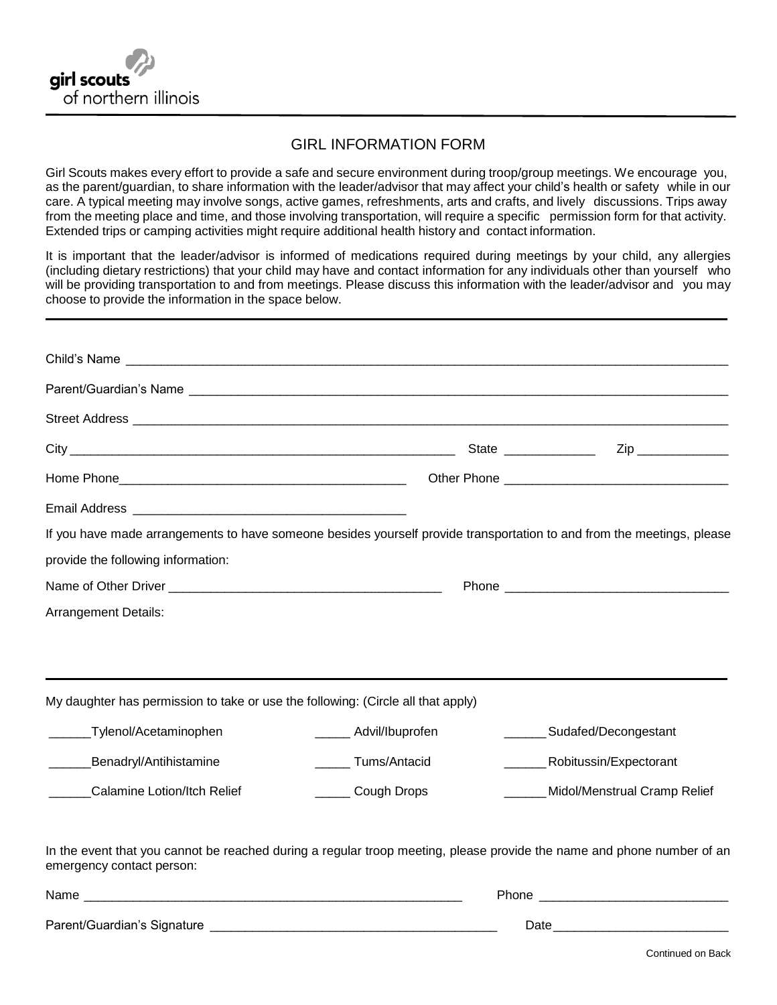

## GIRL INFORMATION FORM

Girl Scouts makes every effort to provide a safe and secure environment during troop/group meetings. We encourage you, as the parent/guardian, to share information with the leader/advisor that may affect your child's health or safety while in our care. A typical meeting may involve songs, active games, refreshments, arts and crafts, and lively discussions. Trips away from the meeting place and time, and those involving transportation, will require a specific permission form for that activity. Extended trips or camping activities might require additional health history and contact information.

It is important that the leader/advisor is informed of medications required during meetings by your child, any allergies (including dietary restrictions) that your child may have and contact information for any individuals other than yourself who will be providing transportation to and from meetings. Please discuss this information with the leader/advisor and you may choose to provide the information in the space below.

| If you have made arrangements to have someone besides yourself provide transportation to and from the meetings, please                              |                        |                                      |
|-----------------------------------------------------------------------------------------------------------------------------------------------------|------------------------|--------------------------------------|
| provide the following information:                                                                                                                  |                        |                                      |
|                                                                                                                                                     |                        |                                      |
| <b>Arrangement Details:</b>                                                                                                                         |                        |                                      |
| My daughter has permission to take or use the following: (Circle all that apply)                                                                    |                        |                                      |
| Tylenol/Acetaminophen                                                                                                                               | ______ Advil/Ibuprofen | _________ Sudafed/Decongestant       |
| Benadryl/Antihistamine                                                                                                                              | Tums/Antacid           | ____________Robitussin/Expectorant   |
| Calamine Lotion/Itch Relief                                                                                                                         | ______ Cough Drops     | _______ Midol/Menstrual Cramp Relief |
| In the event that you cannot be reached during a regular troop meeting, please provide the name and phone number of an<br>emergency contact person: |                        |                                      |
|                                                                                                                                                     |                        |                                      |
|                                                                                                                                                     |                        |                                      |